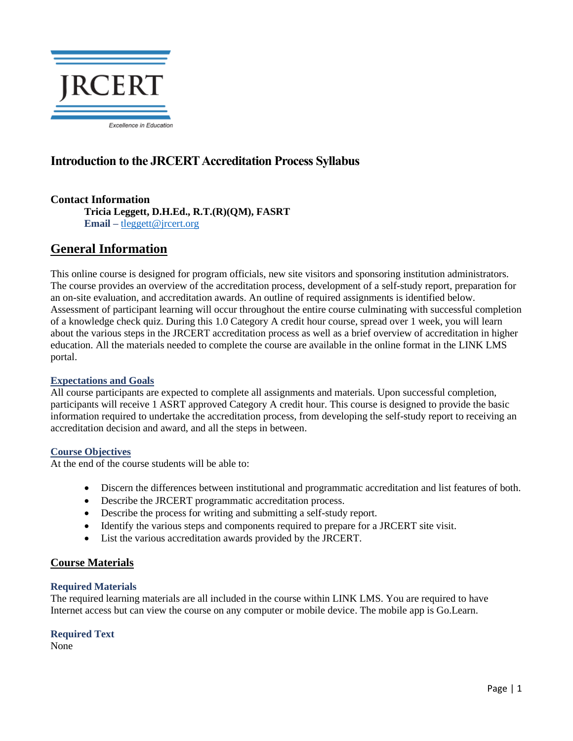

# **Introduction to the JRCERT Accreditation Process Syllabus**

# **Contact Information**

**Tricia Leggett, D.H.Ed., R.T.(R)(QM), FASRT Email –** [tleggett@jrcert.org](mailto:tleggett@jrcert.org)

# **General Information**

This online course is designed for program officials, new site visitors and sponsoring institution administrators. The course provides an overview of the accreditation process, development of a self-study report, preparation for an on-site evaluation, and accreditation awards. An outline of required assignments is identified below. Assessment of participant learning will occur throughout the entire course culminating with successful completion of a knowledge check quiz. During this 1.0 Category A credit hour course, spread over 1 week, you will learn about the various steps in the JRCERT accreditation process as well as a brief overview of accreditation in higher education. All the materials needed to complete the course are available in the online format in the LINK LMS portal.

# **Expectations and Goals**

All course participants are expected to complete all assignments and materials. Upon successful completion, participants will receive 1 ASRT approved Category A credit hour. This course is designed to provide the basic information required to undertake the accreditation process, from developing the self-study report to receiving an accreditation decision and award, and all the steps in between.

## **Course Objectives**

At the end of the course students will be able to:

- Discern the differences between institutional and programmatic accreditation and list features of both.
- Describe the JRCERT programmatic accreditation process.
- Describe the process for writing and submitting a self-study report.
- Identify the various steps and components required to prepare for a JRCERT site visit.
- List the various accreditation awards provided by the JRCERT.

# **Course Materials**

## **Required Materials**

The required learning materials are all included in the course within LINK LMS. You are required to have Internet access but can view the course on any computer or mobile device. The mobile app is Go.Learn.

# **Required Text**

None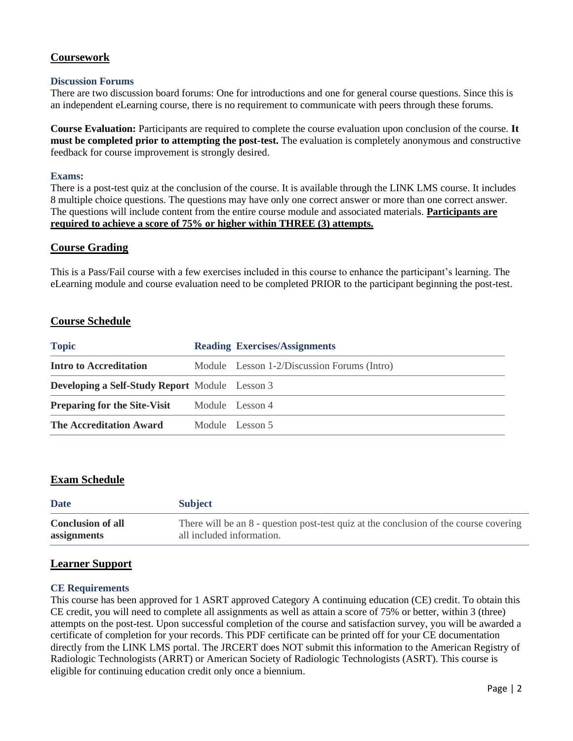# **Coursework**

#### **Discussion Forums**

There are two discussion board forums: One for introductions and one for general course questions. Since this is an independent eLearning course, there is no requirement to communicate with peers through these forums.

**Course Evaluation:** Participants are required to complete the course evaluation upon conclusion of the course. **It must be completed prior to attempting the post-test.** The evaluation is completely anonymous and constructive feedback for course improvement is strongly desired.

#### **Exams:**

There is a post-test quiz at the conclusion of the course. It is available through the LINK LMS course. It includes 8 multiple choice questions. The questions may have only one correct answer or more than one correct answer. The questions will include content from the entire course module and associated materials. **Participants are required to achieve a score of 75% or higher within THREE (3) attempts.**

## **Course Grading**

This is a Pass/Fail course with a few exercises included in this course to enhance the participant's learning. The eLearning module and course evaluation need to be completed PRIOR to the participant beginning the post-test.

## **Course Schedule**

| <b>Topic</b>                                          | <b>Reading Exercises/Assignments</b>        |
|-------------------------------------------------------|---------------------------------------------|
| <b>Intro to Accreditation</b>                         | Module Lesson 1-2/Discussion Forums (Intro) |
| <b>Developing a Self-Study Report</b> Module Lesson 3 |                                             |
| <b>Preparing for the Site-Visit</b>                   | Module Lesson 4                             |
| <b>The Accreditation Award</b>                        | Module Lesson 5                             |

## **Exam Schedule**

| <b>Date</b>              | <b>Subject</b>                                                                        |
|--------------------------|---------------------------------------------------------------------------------------|
| <b>Conclusion of all</b> | There will be an 8 - question post-test quiz at the conclusion of the course covering |
| assignments              | all included information.                                                             |

## **Learner Support**

#### **CE Requirements**

This course has been approved for 1 ASRT approved Category A continuing education (CE) credit. To obtain this CE credit, you will need to complete all assignments as well as attain a score of 75% or better, within 3 (three) attempts on the post-test. Upon successful completion of the course and satisfaction survey, you will be awarded a certificate of completion for your records. This PDF certificate can be printed off for your CE documentation directly from the LINK LMS portal. The JRCERT does NOT submit this information to the American Registry of Radiologic Technologists (ARRT) or American Society of Radiologic Technologists (ASRT). This course is eligible for continuing education credit only once a biennium.